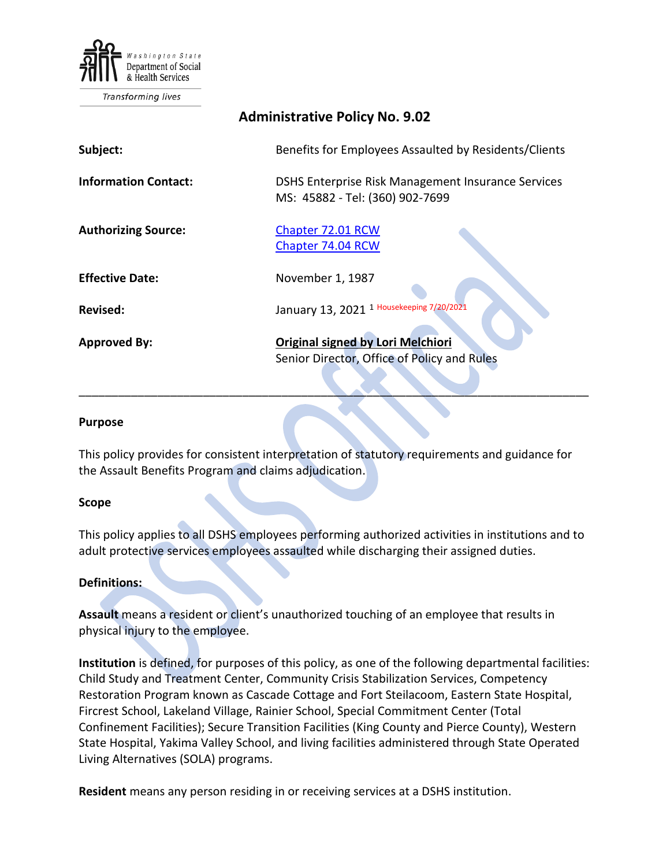

**Transforming lives** 

| <b>Administrative Policy No. 9.02</b> |                                                                                       |
|---------------------------------------|---------------------------------------------------------------------------------------|
| Subject:                              | Benefits for Employees Assaulted by Residents/Clients                                 |
| <b>Information Contact:</b>           | DSHS Enterprise Risk Management Insurance Services<br>MS: 45882 - Tel: (360) 902-7699 |
| <b>Authorizing Source:</b>            | Chapter 72.01 RCW<br>Chapter 74.04 RCW                                                |
| <b>Effective Date:</b>                | November 1, 1987                                                                      |
| <b>Revised:</b>                       | January 13, 2021 <sup>1 Housekeeping 7/20/2021</sup>                                  |
| <b>Approved By:</b>                   | Original signed by Lori Melchiori<br>Senior Director, Office of Policy and Rules      |

### **Purpose**

This policy provides for consistent interpretation of statutory requirements and guidance for the Assault Benefits Program and claims adjudication.

\_\_\_\_\_\_\_\_\_\_\_\_\_\_\_\_\_\_\_\_\_\_\_\_\_\_\_\_\_\_\_\_\_\_\_\_\_\_\_\_\_\_\_\_\_\_\_\_\_\_\_\_\_\_\_\_\_\_\_\_\_\_\_\_\_\_\_\_\_\_\_\_\_\_\_\_\_\_

## **Scope**

This policy applies to all DSHS employees performing authorized activities in institutions and to adult protective services employees assaulted while discharging their assigned duties.

## **Definitions:**

**Assault** means a resident or client's unauthorized touching of an employee that results in physical injury to the employee.

**Institution** is defined, for purposes of this policy, as one of the following departmental facilities: Child Study and Treatment Center, Community Crisis Stabilization Services, Competency Restoration Program known as Cascade Cottage and Fort Steilacoom, Eastern State Hospital, Fircrest School, Lakeland Village, Rainier School, Special Commitment Center (Total Confinement Facilities); Secure Transition Facilities (King County and Pierce County), Western State Hospital, Yakima Valley School, and living facilities administered through State Operated Living Alternatives (SOLA) programs.

**Resident** means any person residing in or receiving services at a DSHS institution.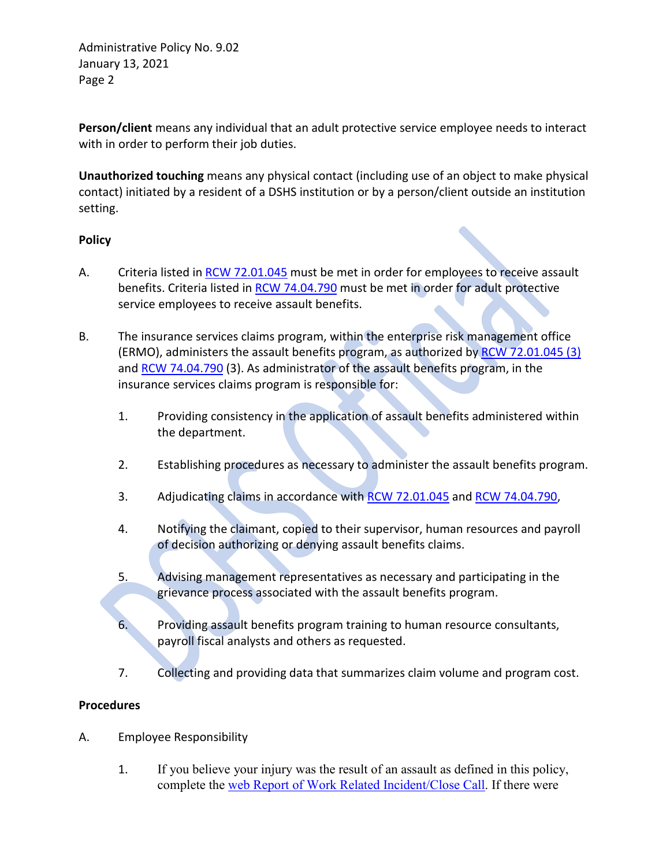Administrative Policy No. 9.02 January 13, 2021 Page 2

**Person/client** means any individual that an adult protective service employee needs to interact with in order to perform their job duties.

**Unauthorized touching** means any physical contact (including use of an object to make physical contact) initiated by a resident of a DSHS institution or by a person/client outside an institution setting.

# **Policy**

- A. Criteria listed i[n RCW 72.01.045](http://apps.leg.wa.gov/RCW/default.aspx?cite=72.01.045) must be met in order for employees to receive assault benefits. Criteria listed in [RCW 74.04.790](http://apps.leg.wa.gov/RCW/default.aspx?cite=74.04.790) must be met in order for adult protective service employees to receive assault benefits.
- B. The insurance services claims program, within the enterprise risk management office (ERMO), administers the assault benefits program, as authorized by [RCW 72.01.045](http://apps.leg.wa.gov/RCW/default.aspx?cite=72.01.045) (3) and RCW [74.04.790](http://apps.leg.wa.gov/RCW/default.aspx?cite=74.04.790) (3). As administrator of the assault benefits program, in the insurance services claims program is responsible for:
	- 1. Providing consistency in the application of assault benefits administered within the department.
	- 2. Establishing procedures as necessary to administer the assault benefits program.
	- 3. Adjudicating claims in accordance wit[h RCW 72.01.045](http://apps.leg.wa.gov/RCW/default.aspx?cite=72.01.045) and RCW [74.04.790,](http://apps.leg.wa.gov/RCW/default.aspx?cite=74.04.790)
	- 4. Notifying the claimant, copied to their supervisor, human resources and payroll of decision authorizing or denying assault benefits claims.
	- 5. Advising management representatives as necessary and participating in the grievance process associated with the assault benefits program.
	- 6. Providing assault benefits program training to human resource consultants, payroll fiscal analysts and others as requested.
	- 7. Collecting and providing data that summarizes claim volume and program cost.

# **Procedures**

- A. Employee Responsibility
	- 1. If you believe your injury was the result of an assault as defined in this policy, complete the [web Report of Work Related Incident/Close Call.](https://riskmaster.dshs.wa.lcl/DSHS%20shell%20web%20form/webform/pagebuilder.aspx) If there were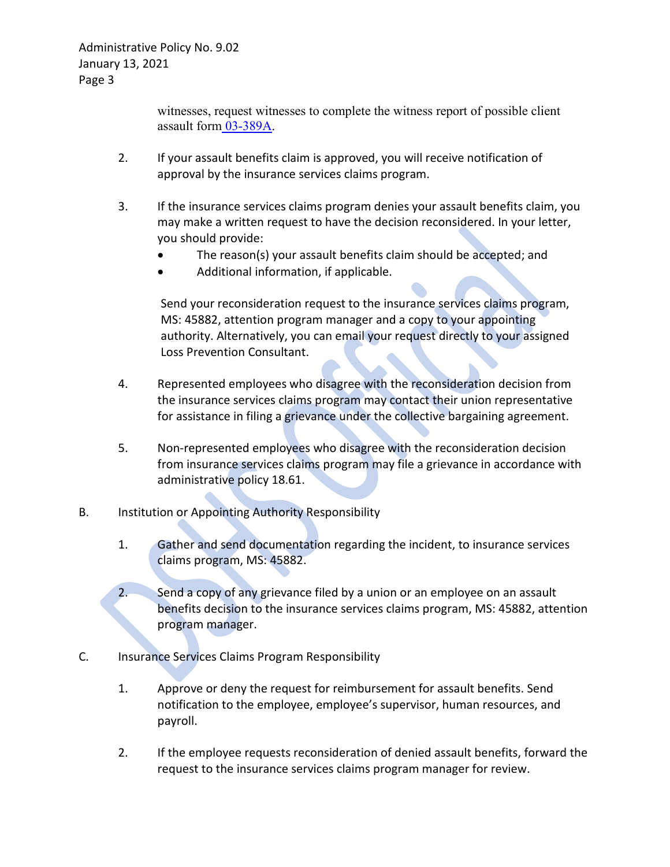witnesses, request witnesses to complete the witness report of possible client assault form [03-389A.](http://forms.dshs.wa.lcl/formDetails.aspx?ID=3570)

- 2. If your assault benefits claim is approved, you will receive notification of approval by the insurance services claims program.
- 3. If the insurance services claims program denies your assault benefits claim, you may make a written request to have the decision reconsidered. In your letter, you should provide:
	- The reason(s) your assault benefits claim should be accepted; and
	- Additional information, if applicable.

Send your reconsideration request to the insurance services claims program, MS: 45882, attention program manager and a copy to your appointing authority. Alternatively, you can email your request directly to your assigned Loss Prevention Consultant.

- 4. Represented employees who disagree with the reconsideration decision from the insurance services claims program may contact their union representative for assistance in filing a grievance under the collective bargaining agreement.
- 5. Non-represented employees who disagree with the reconsideration decision from insurance services claims program may file a grievance in accordance with administrative policy 18.61.
- B. Institution or Appointing Authority Responsibility
	- 1. Gather and send documentation regarding the incident, to insurance services claims program, MS: 45882.
	- 2. Send a copy of any grievance filed by a union or an employee on an assault benefits decision to the insurance services claims program, MS: 45882, attention program manager.
- C. Insurance Services Claims Program Responsibility
	- 1. Approve or deny the request for reimbursement for assault benefits. Send notification to the employee, employee's supervisor, human resources, and payroll.
	- 2. If the employee requests reconsideration of denied assault benefits, forward the request to the insurance services claims program manager for review.